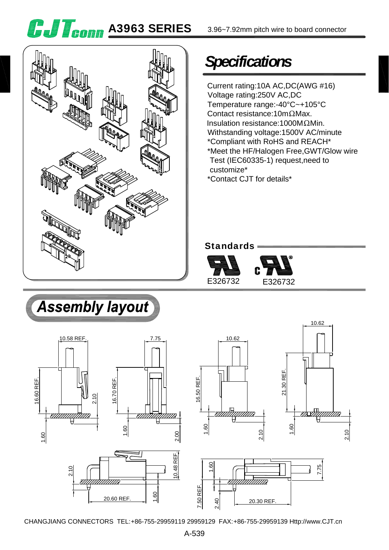**G.J T<sub>eonn</sub> A3963 SERIES** 

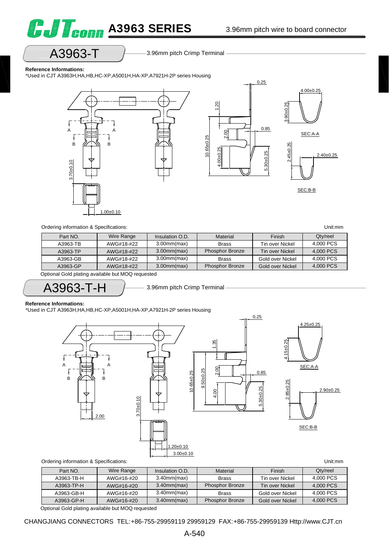

# A3963-T 3.96mm pitch Crimp Terminal

#### **Reference Informations:**

\*Used in CJT A3963H,HA,HB,HC-XP,A5001H,HA-XP,A7921H-2P series Housing



| Part NO. | Wire Range | Insulation O.D.   | Material               | Finish           | Qty/reel  |
|----------|------------|-------------------|------------------------|------------------|-----------|
| A3963-TB | AWG#18-#22 | $3.00$ mm $(max)$ | <b>Brass</b>           | Tin over Nickel  | 4.000 PCS |
| A3963-TP | AWG#18-#22 | $3.00$ mm $(max)$ | <b>Phosphor Bronze</b> | Tin over Nickel  | 4.000 PCS |
| A3963-GB | AWG#18-#22 | $3.00$ mm $(max)$ | <b>Brass</b>           | Gold over Nickel | 4.000 PCS |
| A3963-GP | AWG#18-#22 | $3.00$ mm $(max)$ | <b>Phosphor Bronze</b> | Gold over Nickel | 4,000 PCS |

Optional Gold plating available but MOQ requested

 $A3963-T-H$   $\longrightarrow$  3.96mm pitch Crimp Terminal

#### **Reference Informations:**

\*Used in CJT A3963H,HA,HB,HC-XP,A5001H,HA-XP,A7921H-2P series Housing



| Part NO.   | Wire Range | Insulation O.D.   | Material               | <b>Finish</b>    | Qty/reel  |
|------------|------------|-------------------|------------------------|------------------|-----------|
| A3963-TB-H | AWG#16-#20 | $3.40$ mm $(max)$ | <b>Brass</b>           | Tin over Nickel  | 4.000 PCS |
| A3963-TP-H | AWG#16-#20 | $3.40$ mm $(max)$ | <b>Phosphor Bronze</b> | Tin over Nickel  | 4.000 PCS |
| A3963-GB-H | AWG#16-#20 | $3.40$ mm $(max)$ | <b>Brass</b>           | Gold over Nickel | 4.000 PCS |
| A3963-GP-H | AWG#16-#20 | $3.40$ mm $(max)$ | <b>Phosphor Bronze</b> | Gold over Nickel | 4,000 PCS |

Optional Gold plating available but MOQ requested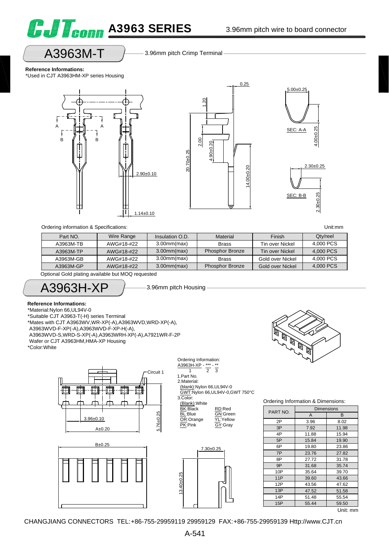

## A3963M-T

3.96mm pitch Crimp Terminal

**Reference Informations:**

\*Used in CJT A3963HM-XP series Housing







Ordering information & Specifications: Unit:mm

| Part NO.  | Wire Range | Insulation O.D.   | Material               | Finish           | Qty/reel  |
|-----------|------------|-------------------|------------------------|------------------|-----------|
| A3963M-TB | AWG#18-#22 | $3.00$ mm $(max)$ | <b>Brass</b>           | Tin over Nickel  | 4,000 PCS |
| A3963M-TP | AWG#18-#22 | $3.00$ mm $(max)$ | <b>Phosphor Bronze</b> | Tin over Nickel  | 4.000 PCS |
| A3963M-GB | AWG#18-#22 | $3.00$ mm $(max)$ | <b>Brass</b>           | Gold over Nickel | 4.000 PCS |
| A3963M-GP | AWG#18-#22 | $3.00$ mm $(max)$ | <b>Phosphor Bronze</b> | Gold over Nickel | 4,000 PCS |

Optional Gold plating available but MOQ requested

A3963H-XP

3.96mm pitch Housing

#### **Reference Informations:**

\*Material:Nylon 66,UL94V-0

\*Suitable CJT A3963-T(-H) series Terminal

\*Mates with CJT A3963WV,WR-XP(-A),A3963WVD,WRD-XP(-A),

A3963WVD-F-XP(-A),A3963WVD-F-XP-H(-A),

A3963WVD-S,WRD-S-XP(-A),A3963WRH-XP(-A),A7921WR-F-2P

Wafer or CJT A3963HM,HMA-XP Housing

\*Color:White











Ordering Information & Dimensions:

| PART NO. | <b>Dimensions</b> |            |
|----------|-------------------|------------|
|          | A                 | B          |
| 2P       | 3.96              | 8.02       |
| 3P       | 7.92              | 11.98      |
| 4P       | 11.88             | 15.94      |
| 5P       | 15.84             | 19.90      |
| 6P       | 19.80             | 23.86      |
| 7P       | 23.76             | 27.82      |
| 8P       | 27.72             | 31.78      |
| 9P       | 31.68             | 35.74      |
| 10P      | 35.64             | 39.70      |
| 11P      | 39.60             | 43.66      |
| 12P      | 43.56             | 47.62      |
| 13P      | 47.52             | 51.58      |
| 14P      | 51.48             | 55.54      |
| 15P      | 55.44             | 59.50<br>. |

Unit: mm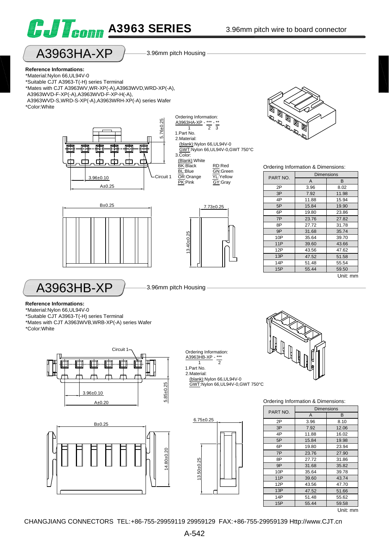





**Reference Informations:** \*Material:Nylon 66,UL94V-0 \*Suitable CJT A3963-T(-H) series Terminal \*Mates with CJT A3963WV,WR-XP(-A),A3963WVD,WRD-XP(-A), A3963WVD-F-XP(-A),A3963WVD-F-XP-H(-A), A3963WVD-S,WRD-S-XP(-A),A3963WRH-XP(-A) series Wafer \*Color:White



Ordering Information: A3963HA-XP - \*\*\*  $\frac{3111111}{1}$   $\frac{1}{2}$   $\frac{1}{3}$ 1.Part No. 2.Material: (blank):Nylon 66,UL94V-0 GWT:Nylon 66,UL94V-0,GWT 750°C 3.Color: (Blank):White BK:Black RD:Red **BL:Blue GN:**Green<br> **OR:Orange YL:Yellow** OR:Orange GY:Gray







#### Ordering Information & Dimensions:

| PART NO. | <b>Dimensions</b> |          |
|----------|-------------------|----------|
|          | A                 | B        |
| 2P       | 3.96              | 8.02     |
| 3P       | 7.92              | 11.98    |
| 4P       | 11.88             | 15.94    |
| 5P       | 15.84             | 19.90    |
| 6P       | 19.80             | 23.86    |
| 7P       | 23.76             | 27.82    |
| 8P       | 27.72             | 31.78    |
| 9P       | 31.68             | 35.74    |
| 10P      | 35.64             | 39.70    |
| 11P      | 39.60             | 43.66    |
| 12P      | 43.56             | 47.62    |
| 13P      | 47.52             | 51.58    |
| 14P      | 51.48             | 55.54    |
| 15P      | 55.44             | 59.50    |
|          |                   | Unit: mm |

 $A3963HB-XP$   $\rightarrow$  3.96mm pitch Housing

**Reference Informations:**

\*Material:Nylon 66,UL94V-0

\*Suitable CJT A3963-T(-H) series Terminal \*Mates with CJT A3963WVB,WRB-XP(-A) series Wafer \*Color:White





Ordering Information:  $\underbrace{A3963H\overline{B}-XP}_{1}$  - \*\*\* 1 2

1.Part No. 2.Material: (blank):Nylon 66,UL94V-0 GWT:Nylon 66,UL94V-0,GWT 750°C

6.75±0.25  $13.50 + 0.25$ 13.50±0.25



Ordering Information & Dimensions:

| PART NO. | <b>Dimensions</b> |                |
|----------|-------------------|----------------|
|          | A                 | B              |
| 2P       | 3.96              | 8.10           |
| 3P       | 7.92              | 12.06          |
| 4P       | 11.88             | 16.02          |
| 5P       | 15.84             | 19.98          |
| 6P       | 19.80             | 23.94          |
| 7P       | 23.76             | 27.90          |
| 8P       | 27.72             | 31.86          |
| 9P       | 31.68             | 35.82          |
| 10P      | 35.64             | 39.78          |
| 11P      | 39.60             | 43.74          |
| 12P      | 43.56             | 47.70          |
| 13P      | 47.52             | 51.66          |
| 14P      | 51.48             | 55.62          |
| 15P      | 55.44             | 59.58          |
|          |                   | $\blacksquare$ |

Unit: mm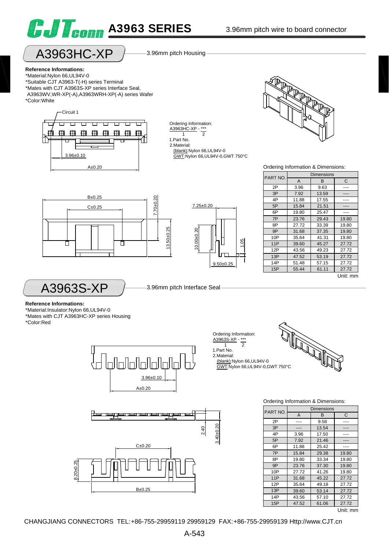



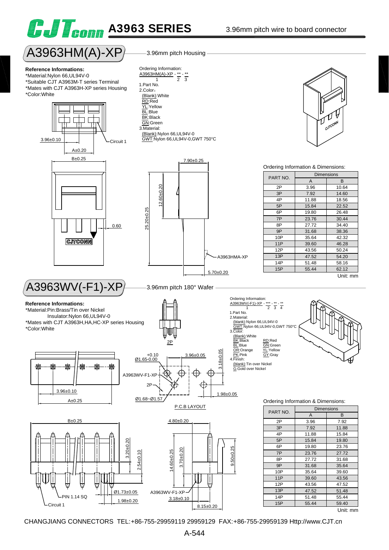# **G.J T<sub>eonn</sub> A3963 SERIES**



**Reference Informations:** \*Material:Nylon 66,UL94V-0 \*Suitable CJT A3963M-T series Terminal \*Mates with CJT A3963H-XP series Housing \*Color:White



# $\overline{A3963WV}$ (-F1)-XP $\rangle$  3.96mm pitch 180° Wafer -

#### **Reference Informations:**

\*Material:Pin:Brass/Tin over Nickel Insulator:Nylon 66,UL94V-0

\*Mates with CJT A3963H,HA,HC-XP series Housing \*Color:White







7.90±0.25

### P.C.B LAYOUT 3.96±0.05 Ø1.65 +0.10 -0.00 1.98±0.05<br>
1.98±0.05<br>
1.98±0.05 Ø1.68~Ø1.57 2P 2P A3963WV-F1-XP



Ordering Information:  $\frac{\text{A3963WV}(-F1)-XP}{1}$  - \*\*\*  $\frac{1}{1}$   $\frac{1}{2}$   $\frac{1}{3}$   $\frac{1}{4}$ 1.Part No. 2.Material: (blank):Nylon 66,UL94V-0 GWT:Nylon 66,UL94V-0,GWT 750°C 3.Color: <u>(Blank)</u>:White<br>BK:Black RD:Red <u>BL</u>:Blue GN:Green<br>
OR:Orange YL:Yellow<br>
PK:Pink GY:Gray<br>4.Finish: (blank):Tin over Nickel G:Gold over Nickel



Ordering Information & Dimensions:

| וטע             | PART NO. | <b>Dimensions</b> |          |
|-----------------|----------|-------------------|----------|
|                 |          | A                 | B        |
|                 | 2P       | 3.96              | 7.92     |
|                 | 3P       | 7.92              | 11.88    |
|                 | 4P       | 11.88             | 15.84    |
|                 | 5P       | 15.84             | 19.80    |
|                 | 6P       | 19.80             | 23.76    |
| $9.50 + 0.25$   | 7P       | 23.76             | 27.72    |
|                 | 8P       | 27.72             | 31.68    |
|                 | 9P       | 31.68             | 35.64    |
|                 | 10P      | 35.64             | 39.60    |
| IJ              | 11P      | 39.60             | 43.56    |
|                 | 12P      | 43.56             | 47.52    |
|                 | 13P      | 47.52             | 51.48    |
|                 | 14P      | 51.48             | 55.44    |
| $8.15 \pm 0.20$ | 15P      | 55.44             | 59.40    |
|                 |          |                   | Unit: mm |

3.96mm pitch Housing A3963HM(A)-XP Ordering Information:

A3963HM(A)-XP - \*\* - \*\* 1 2 3 1.Part No. 2.Color: (Blank):White RD:Red YL:Yellow BL:Blue BK:Black GN:Green 3.Material: (Blank):Nylon 66,UL94V-0 GWT:Nylon 66,UL94V-0,GWT 750°C

25.20±0.25

 $25.20 \pm 0.25$ 

12.60±0.20

 $12.60 + 0.20$ 



#### Ordering Information & Dimensions:

| PART NO. | <b>Dimensions</b> |          |  |
|----------|-------------------|----------|--|
|          | A                 | B        |  |
| 2P       | 3.96              | 10.64    |  |
| 3P       | 7.92              | 14.60    |  |
| 4P       | 11.88             | 18.56    |  |
| 5P       | 15.84             | 22.52    |  |
| 6P       | 19.80             | 26.48    |  |
| 7P       | 23.76             | 30.44    |  |
| 8P       | 27.72             | 34.40    |  |
| 9P       | 31.68             | 38.36    |  |
| 10P      | 35.64             | 42.32    |  |
| 11P      | 39.60             | 46.28    |  |
| 12P      | 43.56             | 50.24    |  |
| 13P      | 47.52             | 54.20    |  |
| 14P      | 51.48             | 58.16    |  |
| 15P      | 55.44             | 62.12    |  |
|          |                   | Unit: mm |  |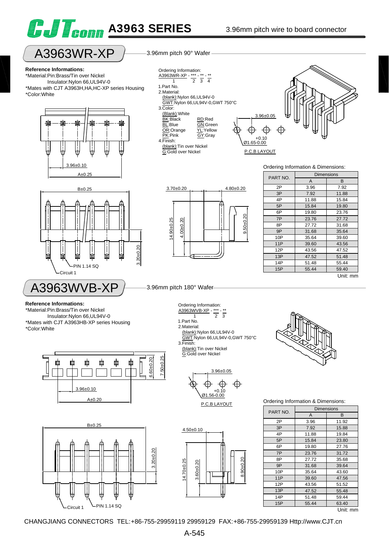

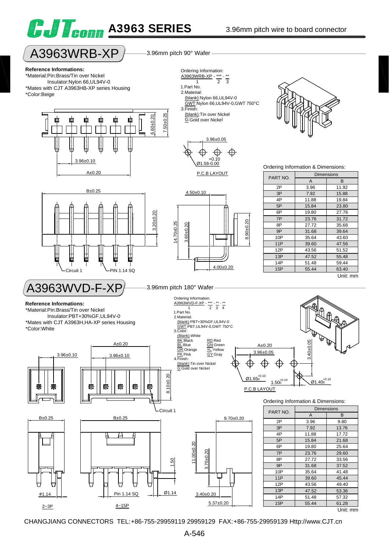



15P 55.44 61.28

CHANGJIANG CONNECTORS TEL:+86-755-29959119 29959129 FAX:+86-755-29959139 Http://www.CJT.cn

 $2 \sim 3P$   $4 \sim 15P$ 

5.37±0.20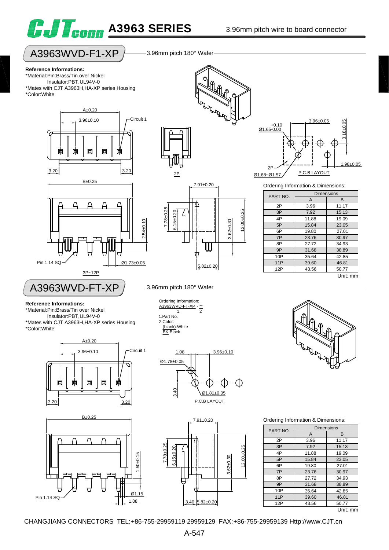

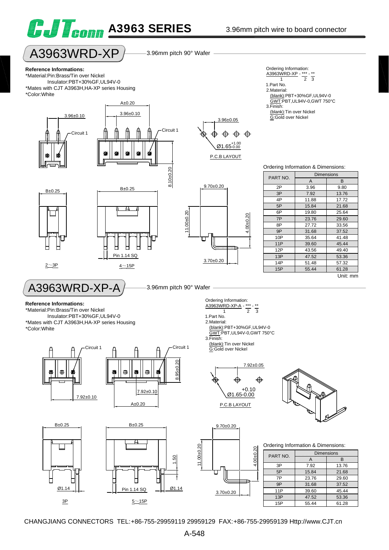



# $A3963WRD-XP$   $\rightarrow$  3.96mm pitch 90° Wafer

**Reference Informations:**

B±0.25

\*Material:Pin:Brass/Tin over Nickel Insulator:PBT+30%GF,UL94V-0 \*Mates with CJT A3963H,HA-XP series Housing \*Color:White

3.96±0.10



11.00±0.20

11.00±0.20

3.70±0.20

1.Part No. 2.Material:

3.Finish:



- $\frac{\text{A3963WRD-XP}}{1}$   $\frac{***}{2}$   $\frac{**}{3}$ 1 2 3
- 1.Part No.
- 2.Material:
	- (blank):PBT+30%GF,UL94V-0 GWT:PBT,UL94V-0,GWT 750°C
- 3.Finish: (blank):Tin over Nickel
	- G:Gold over Nickel

#### Ordering Information & Dimensions:

| PART NO. | <b>Dimensions</b> |          |
|----------|-------------------|----------|
|          | A                 | B        |
| 2P       | 3.96              | 9.80     |
| 3P       | 7.92              | 13.76    |
| 4P       | 11.88             | 17.72    |
| 5P       | 15.84             | 21.68    |
| 6P       | 19.80             | 25.64    |
| 7P       | 23.76             | 29.60    |
| 8P       | 27.72             | 33.56    |
| 9P       | 31.68             | 37.52    |
| 10P      | 35.64             | 41.48    |
| 11P      | 39.60             | 45.44    |
| 12P      | 43.56             | 49.40    |
| 13P      | 47.52             | 53.36    |
| 14P      | 51.48             | 57.32    |
| 15P      | 55.44             | 61.28    |
|          |                   | Unit: mm |



 $A3963WRD-XP-A$   $\rightarrow$  3.96mm pitch 90° Wafer Ordering Information:

#### **Reference Informations:**

\*Material:Pin:Brass/Tin over Nickel Insulator:PBT+30%GF,UL94V-0 \*Mates with CJT A3963H,HA-XP series Housing

 $2 \sim 3P$   $4 \sim 15P$ 

\*Color:White



Pin 1.14 SQ

А





(blank):Tin over Nickel

 $\frac{\text{A3963WRD-XP-A}}{1}$  - \*\*\* - \*\*<br>2 1 2 3

 (blank):PBT+30%GF,UL94V-0 GWT:PBT,UL94V-0,GWT 750°C

9.70±0.20

3.70±0.20

П

P.C.B LAYOUT

4.00±0.20

 $\mathcal{S}$  $4.00 + 0.$ 

4.00±0.20

 $4.00 + 0.20$ 

⇎



Ordering Information & Dimensions:

| PART NO. | <b>Dimensions</b> |       |  |
|----------|-------------------|-------|--|
|          | А                 | R     |  |
| 3P       | 7.92              | 13.76 |  |
| 5P       | 15.84             | 21.68 |  |
| 7P       | 23.76             | 29.60 |  |
| 9P       | 31.68             | 37.52 |  |
| 11P      | 39.60             | 45.44 |  |
| 13P      | 47.52             | 53.36 |  |
| 15P      | 55.44             | 61.28 |  |

CHANGJIANG CONNECTORS TEL:+86-755-29959119 29959129 FAX:+86-755-29959139 Http://www.CJT.cn

1.50

Ø1.14

11.00±0.20

 $1.00 + 0.20$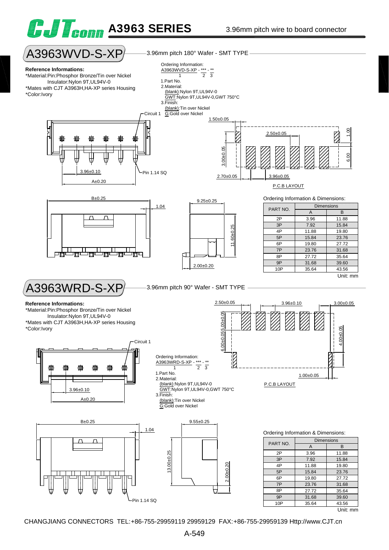

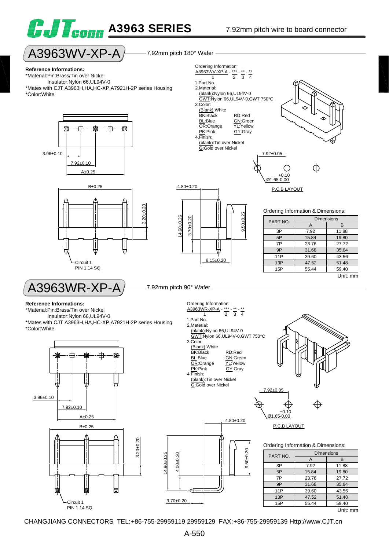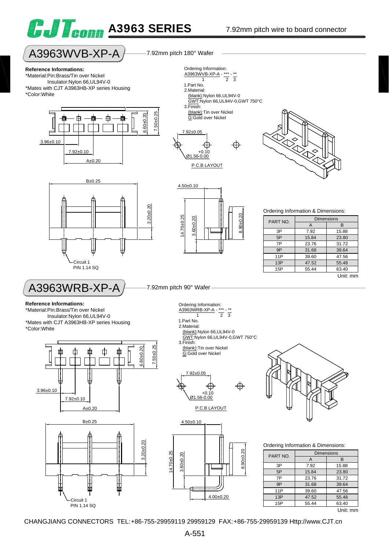



# $A3963WVB-XP-A$   $\rightarrow$  7.92mm pitch 180° Wafer

#### **Reference Informations:**

\*Material:Pin:Brass/Tin over Nickel Insulator:Nylon 66,UL94V-0 \*Mates with CJT A3963HB-XP series Housing \*Color:White





 $\frac{127641}{1}$   $\frac{1}{2}$   $\frac{1}{3}$ 

Ordering Information: A3963WVB-XP-A - \*\*\*

1.Part No.







P.C.B LAYOUT

Ordering Information & Dimensions:

| PART NO. | <b>Dimensions</b> |          |  |
|----------|-------------------|----------|--|
|          | A                 | в        |  |
| 3P       | 7.92              | 15.88    |  |
| 5P       | 15.84             | 23.80    |  |
| 7P       | 23.76             | 31.72    |  |
| 9P       | 31.68             | 39.64    |  |
| 11P      | 39.60             | 47.56    |  |
| 13P      | 47.52             | 55.48    |  |
| 15P      | 55.44             | 63.40    |  |
|          |                   | Unit: mm |  |

## $A3963WRB-XP-A$   $\rightarrow$  7.92mm pitch 90° Wafer

**Reference Informations:**

\*Material:Pin:Brass/Tin over Nickel Insulator:Nylon 66,UL94V-0

\*Mates with CJT A3963HB-XP series Housing \*Color:White



Ordering Information: A3963WRB-XP-A - \*\*\* - \*\*

- $\frac{1}{1}$   $\frac{1}{2}$   $\frac{1}{3}$ 1.Part No.
- 2.Material:
- (blank):Nylon 66,UL94V-0
- GWT:Nylon 66,UL94V-0,GWT 750°C
- 3.Finish: (blank):Tin over Nickel G:Gold over Nickel



P.C.B LAYOUT

8.90±0.20

 $8.90 + 0.20$ 



4.00±0.20



Ordering Information & Dimensions:

| PART NO. | <b>Dimensions</b> |       |  |
|----------|-------------------|-------|--|
|          |                   | в     |  |
| 3P       | 7.92              | 15.88 |  |
| 5P       | 15.84             | 23.80 |  |
| 7P       | 23.76             | 31.72 |  |
| 9P       | 31.68             | 39.64 |  |
| 11P      | 39.60             | 47.56 |  |
| 13P      | 47.52             | 55.48 |  |
| 15P      | 55.44             | 63.40 |  |
|          |                   | .     |  |

Unit: mm

CHANGJIANG CONNECTORS TEL:+86-755-29959119 29959129 FAX:+86-755-29959139 Http://www.CJT.cn

3.60±0.20

 $\overline{a}$  $60 + 0.2$ 

14.70±0.25

 $4.70 + 0.25$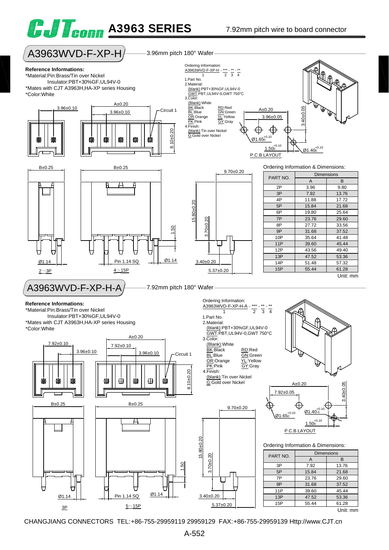

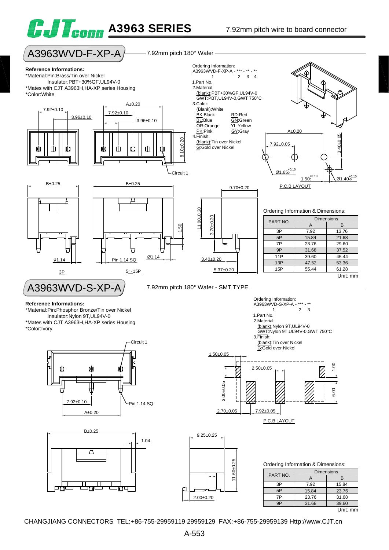



| PART NO. | <b>Dimensions</b> |       |
|----------|-------------------|-------|
|          |                   | B     |
| 3P       | 7.92              | 15.84 |
| 5P       | 15.84             | 23.76 |
| 7P       | 23.76             | 31.68 |
| qΡ       | 31.68             | 39.60 |
|          |                   |       |

CHANGJIANG CONNECTORS TEL:+86-755-29959119 29959129 FAX:+86-755-29959139 Http://www.CJT.cn

 $\mathsf{I}$ 

2.00±0.20

 $\frac{1}{2}$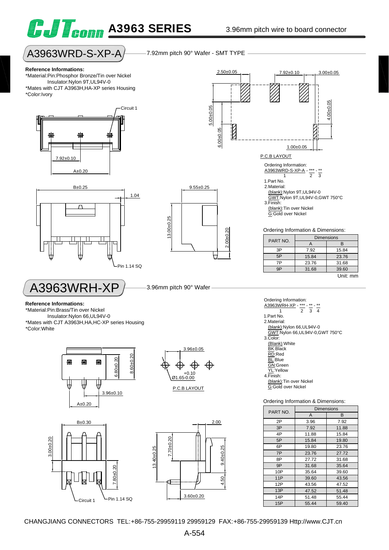